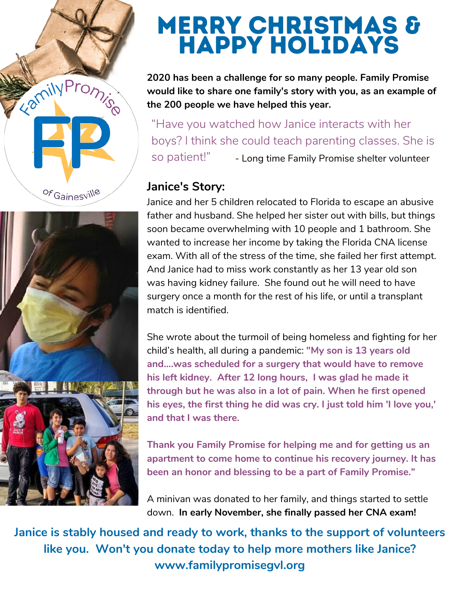



# Merry Christmas & Happy Holidays

**2020 has been a challenge for so many people. Family Promise would like to share one family's story with you, as an example of the 200 people we have helped this year.**

- Long time Family Promise shelter volunteer "Have you watched how Janice interacts with her boys? I think she could teach parenting classes. She is so patient!"

#### **Janice's Story:**

Janice and her 5 children relocated to Florida to escape an abusive father and husband. She helped her sister out with bills, but things soon became overwhelming with 10 people and 1 bathroom. She wanted to increase her income by taking the Florida CNA license exam. With all of the stress of the time, she failed her first attempt. And Janice had to miss work constantly as her 13 year old son was having kidney failure. She found out he will need to have surgery once a month for the rest of his life, or until a transplant match is identified.

She wrote about the turmoil of being homeless and fighting for her child's health, all during a pandemic: **"My son is 13 years old and....was scheduled for a surgery that would have to remove his left kidney. After 12 long hours, I was glad he made it through but he was also in a lot of pain. When he first opened his eyes, the first thing he did was cry. I just told him 'I love you,' and that I was there.**

**Thank you Family Promise for helping me and for getting us an apartment to come home to continue his recovery journey. It has been an honor and blessing to be a part of Family Promise."**

A minivan was donated to her family, and things started to settle down. **In early November, she finally passed her CNA exam!**

**Janice is stably housed and ready to work, thanks to the support of volunteers like you. Won't you donate today to help more mothers like Janice? www.familypromisegvl.org**